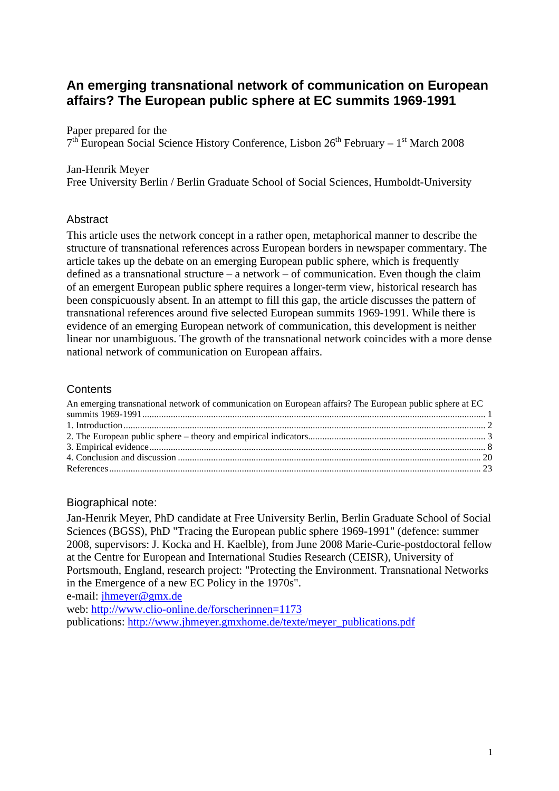# **An emerging transnational network of communication on European affairs? The European public sphere at EC summits 1969-1991**

Paper prepared for the

 $7<sup>th</sup>$  European Social Science History Conference, Lisbon 26<sup>th</sup> February – 1<sup>st</sup> March 2008

#### Jan-Henrik Meyer

Free University Berlin / Berlin Graduate School of Social Sciences, Humboldt-University

## **Abstract**

This article uses the network concept in a rather open, metaphorical manner to describe the structure of transnational references across European borders in newspaper commentary. The article takes up the debate on an emerging European public sphere, which is frequently defined as a transnational structure – a network – of communication. Even though the claim of an emergent European public sphere requires a longer-term view, historical research has been conspicuously absent. In an attempt to fill this gap, the article discusses the pattern of transnational references around five selected European summits 1969-1991. While there is evidence of an emerging European network of communication, this development is neither linear nor unambiguous. The growth of the transnational network coincides with a more dense national network of communication on European affairs.

## **Contents**

| An emerging transnational network of communication on European affairs? The European public sphere at EC |  |
|----------------------------------------------------------------------------------------------------------|--|
|                                                                                                          |  |
|                                                                                                          |  |
|                                                                                                          |  |
|                                                                                                          |  |
|                                                                                                          |  |
|                                                                                                          |  |

#### Biographical note:

Jan-Henrik Meyer, PhD candidate at Free University Berlin, Berlin Graduate School of Social Sciences (BGSS), PhD "Tracing the European public sphere 1969-1991" (defence: summer 2008, supervisors: J. Kocka and H. Kaelble), from June 2008 Marie-Curie-postdoctoral fellow at the Centre for European and International Studies Research (CEISR), University of Portsmouth, England, research project: "Protecting the Environment. Transnational Networks in the Emergence of a new EC Policy in the 1970s".

e-mail: jhmeyer@gmx.de

web: http://www.clio-online.de/forscherinnen=1173 publications: http://www.jhmeyer.gmxhome.de/texte/meyer\_publications.pdf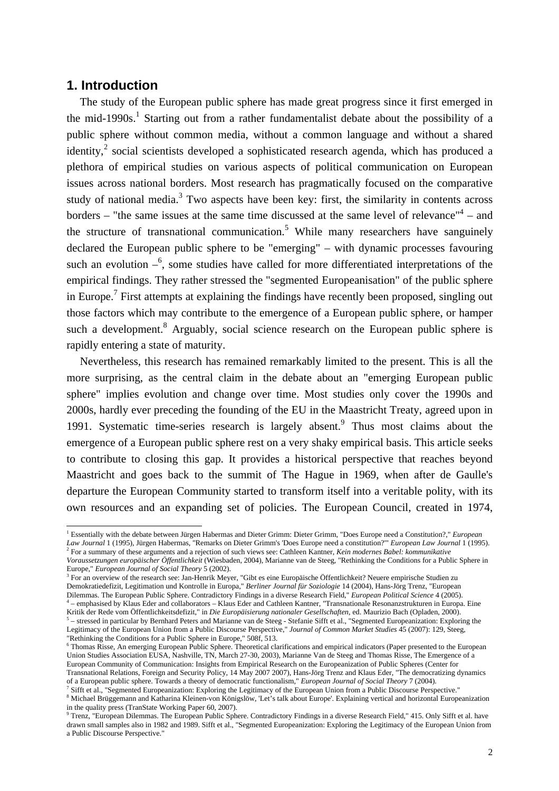#### **1. Introduction**

 $\overline{a}$ 

The study of the European public sphere has made great progress since it first emerged in the mid-1990s.<sup>1</sup> Starting out from a rather fundamentalist debate about the possibility of a public sphere without common media, without a common language and without a shared identity,<sup>2</sup> social scientists developed a sophisticated research agenda, which has produced a plethora of empirical studies on various aspects of political communication on European issues across national borders. Most research has pragmatically focused on the comparative study of national media. $3$  Two aspects have been key: first, the similarity in contents across borders  $-$  "the same issues at the same time discussed at the same level of relevance" $4$  – and the structure of transnational communication.<sup>5</sup> While many researchers have sanguinely declared the European public sphere to be "emerging" – with dynamic processes favouring such an evolution  $-\epsilon$ , some studies have called for more differentiated interpretations of the empirical findings. They rather stressed the "segmented Europeanisation" of the public sphere in Europe.<sup>7</sup> First attempts at explaining the findings have recently been proposed, singling out those factors which may contribute to the emergence of a European public sphere, or hamper such a development.<sup>8</sup> Arguably, social science research on the European public sphere is rapidly entering a state of maturity.

Nevertheless, this research has remained remarkably limited to the present. This is all the more surprising, as the central claim in the debate about an "emerging European public sphere" implies evolution and change over time. Most studies only cover the 1990s and 2000s, hardly ever preceding the founding of the EU in the Maastricht Treaty, agreed upon in 1991. Systematic time-series research is largely absent.<sup>9</sup> Thus most claims about the emergence of a European public sphere rest on a very shaky empirical basis. This article seeks to contribute to closing this gap. It provides a historical perspective that reaches beyond Maastricht and goes back to the summit of The Hague in 1969, when after de Gaulle's departure the European Community started to transform itself into a veritable polity, with its own resources and an expanding set of policies. The European Council, created in 1974,

<sup>1</sup> Essentially with the debate between Jürgen Habermas and Dieter Grimm: Dieter Grimm, "Does Europe need a Constitution?," *European* Law Journal 1 (1995), Jürgen Habermas, "Remarks on Dieter Grimm's 'Does Europe need a constitution?" *European Law Journal* 1 (1995).<br><sup>2</sup> For a summary of these arguments and a rejection of such views see: Cathleen Kantner

*Voraussetzungen europäischer Öffentlichkeit* (Wiesbaden, 2004), Marianne van de Steeg, "Rethinking the Conditions for a Public Sphere in Europe," *European Journal of Social Theory* 5 (2002).

<sup>3</sup> For an overview of the research see: Jan-Henrik Meyer, "Gibt es eine Europäische Öffentlichkeit? Neuere empirische Studien zu Demokratiedefizit, Legitimation und Kontrolle in Europa," *Berliner Journal für Soziologie* 14 (2004), Hans-Jörg Trenz, "European Dilemmas. The European Public Sphere. Contradictory Findings in a diverse Research Field," *European Political Science* 4 (2005). 4 – emphasised by Klaus Eder and collaborators – Klaus Eder and Cathleen Kantner, "Transnationale Resonanzstrukturen in Europa. Eine

Kritik der Rede vom Öffentlichkeitsdefizit," in *Die Europäisierung nationaler Gesellschaften*, ed. Maurizio Bach (Opladen, 2000).<br><sup>5</sup> – stressed in particular by Bernhard Peters and Marianne van de Steeg - Stefanie Sifft Legitimacy of the European Union from a Public Discourse Perspective," *Journal of Common Market Studies* 45 (2007): 129, Steeg, "Rethinking the Conditions for a Public Sphere in Europe," 508f, 513.

<sup>6</sup> Thomas Risse, An emerging European Public Sphere. Theoretical clarifications and empirical indicators (Paper presented to the European Union Studies Association EUSA, Nashville, TN, March 27-30, 2003), Marianne Van de Steeg and Thomas Risse, The Emergence of a European Community of Communication: Insights from Empirical Research on the Europeanization of Public Spheres (Center for Transnational Relations, Foreign and Security Policy, 14 May 2007 2007), Hans-Jörg Trenz and Klaus Eder, "The democratizing dynamics of a European public sphere. Towards a theory of democratic functionalism," *European Journal of Social Theory* 7 (2004).

<sup>7</sup> Sifft et al., "Segmented Europeanization: Exploring the Legitimacy of the European Union from a Public Discourse Perspective." 8 Michael Brüggemann and Katharina Kleinen-von Königslöw, 'Let's talk about Europe'. Explaining vertical and horizontal Europeanization in the quality press (TranState Working Paper 60, 2007).

<sup>&</sup>lt;sup>9</sup> Trenz, "European Dilemmas. The European Public Sphere. Contradictory Findings in a diverse Research Field," 415. Only Sifft et al. have drawn small samples also in 1982 and 1989. Sifft et al., "Segmented Europeanization: Exploring the Legitimacy of the European Union from a Public Discourse Perspective."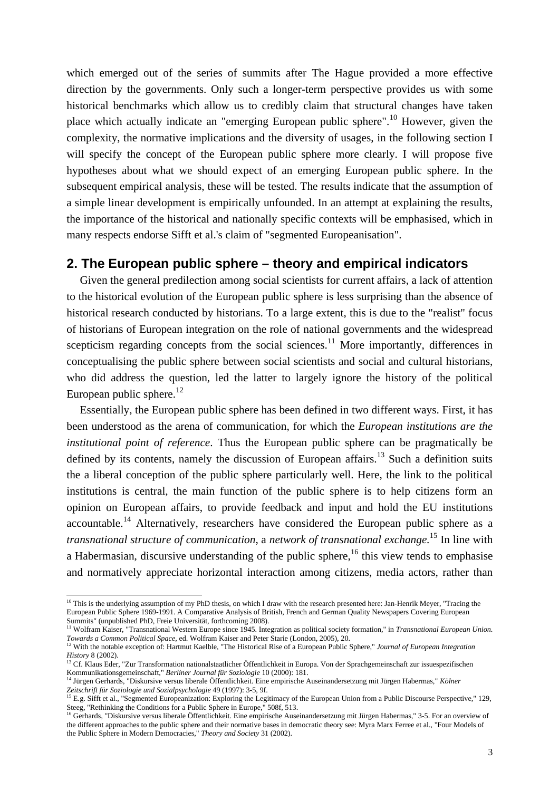which emerged out of the series of summits after The Hague provided a more effective direction by the governments. Only such a longer-term perspective provides us with some historical benchmarks which allow us to credibly claim that structural changes have taken place which actually indicate an "emerging European public sphere".<sup>10</sup> However, given the complexity, the normative implications and the diversity of usages, in the following section I will specify the concept of the European public sphere more clearly. I will propose five hypotheses about what we should expect of an emerging European public sphere. In the subsequent empirical analysis, these will be tested. The results indicate that the assumption of a simple linear development is empirically unfounded. In an attempt at explaining the results, the importance of the historical and nationally specific contexts will be emphasised, which in many respects endorse Sifft et al.'s claim of "segmented Europeanisation".

## **2. The European public sphere – theory and empirical indicators**

Given the general predilection among social scientists for current affairs, a lack of attention to the historical evolution of the European public sphere is less surprising than the absence of historical research conducted by historians. To a large extent, this is due to the "realist" focus of historians of European integration on the role of national governments and the widespread scepticism regarding concepts from the social sciences.<sup>11</sup> More importantly, differences in conceptualising the public sphere between social scientists and social and cultural historians, who did address the question, led the latter to largely ignore the history of the political European public sphere. $^{12}$ 

Essentially, the European public sphere has been defined in two different ways. First, it has been understood as the arena of communication, for which the *European institutions are the institutional point of reference*. Thus the European public sphere can be pragmatically be defined by its contents, namely the discussion of European affairs.<sup>13</sup> Such a definition suits the a liberal conception of the public sphere particularly well. Here, the link to the political institutions is central, the main function of the public sphere is to help citizens form an opinion on European affairs, to provide feedback and input and hold the EU institutions accountable.<sup>14</sup> Alternatively, researchers have considered the European public sphere as a *transnational structure of communication*, a *network of transnational exchange.*<sup>15</sup> In line with a Habermasian, discursive understanding of the public sphere,  $^{16}$  this view tends to emphasise and normatively appreciate horizontal interaction among citizens, media actors, rather than

<sup>&</sup>lt;sup>10</sup> This is the underlying assumption of my PhD thesis, on which I draw with the research presented here: Jan-Henrik Meyer, "Tracing the European Public Sphere 1969-1991. A Comparative Analysis of British, French and German Quality Newspapers Covering European Summits" (unpublished PhD, Freie Universität, forthcoming 2008).

<sup>11</sup> Wolfram Kaiser, "Transnational Western Europe since 1945. Integration as political society formation," in *Transnational European Union. Towards a Common Political Space*, ed. Wolfram Kaiser and Peter Starie (London, 2005), 20.

<sup>12</sup> With the notable exception of: Hartmut Kaelble, "The Historical Rise of a European Public Sphere," *Journal of European Integration History* 8 (2002).

<sup>13</sup> Cf. Klaus Eder, "Zur Transformation nationalstaatlicher Öffentlichkeit in Europa. Von der Sprachgemeinschaft zur issuespezifischen Kommunikationsgemeinschaft," *Berliner Journal für Soziologie* 10 (2000): 181.

<sup>14</sup> Jürgen Gerhards, "Diskursive versus liberale Öffentlichkeit. Eine empirische Auseinandersetzung mit Jürgen Habermas," *Kölner Zeitschrift für Soziologie und Sozialpsychologie* 49 (1997): 3-5, 9f.

<sup>&</sup>lt;sup>15</sup> E.g. Sifft et al., "Segmented Europeanization: Exploring the Legitimacy of the European Union from a Public Discourse Perspective," 129, Steeg, "Rethinking the Conditions for a Public Sphere in Europe," 508f, 513.

<sup>&</sup>lt;sup>16</sup> Gerhards, "Diskursive versus liberale Öffentlichkeit. Eine empirische Auseinandersetzung mit Jürgen Habermas," 3-5. For an overview of the different approaches to the public sphere and their normative bases in democratic theory see: Myra Marx Ferree et al., "Four Models of the Public Sphere in Modern Democracies," *Theory and Society* 31 (2002).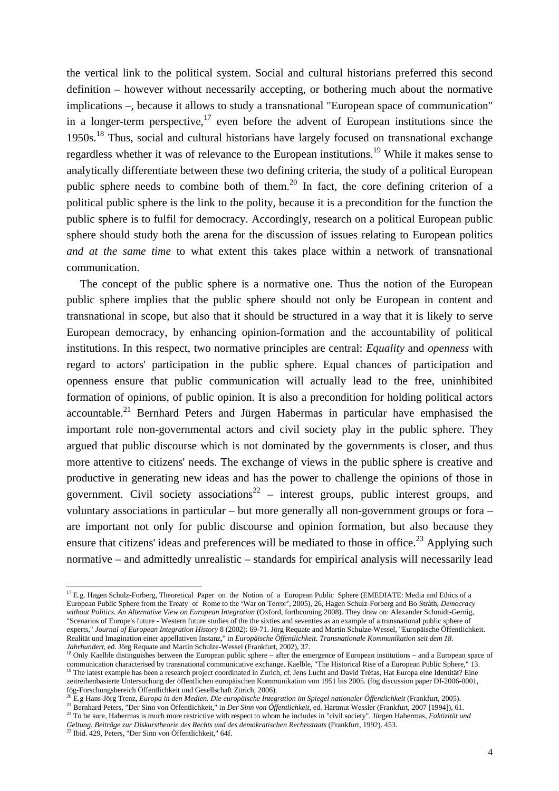the vertical link to the political system. Social and cultural historians preferred this second definition – however without necessarily accepting, or bothering much about the normative implications –, because it allows to study a transnational "European space of communication" in a longer-term perspective, $17$  even before the advent of European institutions since the 1950s.<sup>18</sup> Thus, social and cultural historians have largely focused on transnational exchange regardless whether it was of relevance to the European institutions.<sup>19</sup> While it makes sense to analytically differentiate between these two defining criteria, the study of a political European public sphere needs to combine both of them.<sup>20</sup> In fact, the core defining criterion of a political public sphere is the link to the polity, because it is a precondition for the function the public sphere is to fulfil for democracy. Accordingly, research on a political European public sphere should study both the arena for the discussion of issues relating to European politics *and at the same time* to what extent this takes place within a network of transnational communication.

The concept of the public sphere is a normative one. Thus the notion of the European public sphere implies that the public sphere should not only be European in content and transnational in scope, but also that it should be structured in a way that it is likely to serve European democracy, by enhancing opinion-formation and the accountability of political institutions. In this respect, two normative principles are central: *Equality* and *openness* with regard to actors' participation in the public sphere. Equal chances of participation and openness ensure that public communication will actually lead to the free, uninhibited formation of opinions, of public opinion. It is also a precondition for holding political actors accountable.<sup>21</sup> Bernhard Peters and Jürgen Habermas in particular have emphasised the important role non-governmental actors and civil society play in the public sphere. They argued that public discourse which is not dominated by the governments is closer, and thus more attentive to citizens' needs. The exchange of views in the public sphere is creative and productive in generating new ideas and has the power to challenge the opinions of those in government. Civil society associations<sup>22</sup> – interest groups, public interest groups, and voluntary associations in particular – but more generally all non-government groups or fora – are important not only for public discourse and opinion formation, but also because they ensure that citizens' ideas and preferences will be mediated to those in office.<sup>23</sup> Applying such normative – and admittedly unrealistic – standards for empirical analysis will necessarily lead

l

 $^{17}$  E.g. Hagen Schulz-Forberg, Theoretical Paper on the Notion of a European Public Sphere (EMEDIATE: Media and Ethics of a European Public Sphere from the Treaty of Rome to the 'War on Terror', 2005), 26, Hagen Schulz-Forberg and Bo Stråth, *Democracy without Politics. An Alternative View on European Integration* (Oxford, forthcoming 2008). They draw on: Alexander Schmidt-Gernig, "Scenarios of Europe's future - Western future studies of the the sixties and seventies as an example of a transnational public sphere of experts," *Journal of European Integration History* 8 (2002): 69-71. Jörg Requate and Martin Schulze-Wessel, "Europäische Öffentlichkeit. Realität und Imagination einer appellativen Instanz," in *Europäische Öffentlichkeit. Transnationale Kommunikation seit dem 18. Jahrhundert*, ed. Jörg Requate and Martin Schulze-Wessel (Frankfurt, 2002), 37.

 $18$  Only Kaelble distinguishes between the European public sphere – after the emergence of European institutions – and a European space of communication characterised by transnational communicative exchange. Kaelble, "The Historical Rise of a European Public Sphere," 13. <sup>19</sup> The latest example has been a research project coordinated in Zurich, cf. Jens Lucht and David Tréfas, Hat Europa eine Identität? Eine zeitreihenbasierte Untersuchung der öffentlichen europäischen Kommunikation von 1951 bis 2005. (fög discussion paper DI-2006-0001, fög-Forschungsbereich Öffentlichkeit und Gesellschaft Zürich, 2006).

<sup>20</sup> E.g Hans-Jörg Trenz, *Europa in den Medien. Die europäische Integration im Spiegel nationaler Öffentlichkeit* (Frankfurt, 2005).

<sup>21</sup> Bernhard Peters, "Der Sinn von Öffentlichkeit," in *Der Sinn von Öffentlichkeit*, ed. Hartmut Wessler (Frankfurt, 2007 [1994]), 61. <sup>22</sup> To be sure, Habermas is much more restrictive with respect to whom he includes in "civil society". Jürgen Habermas, *Faktizität und* 

*Geltung. Beiträge zur Diskurstheorie des Rechts und des demokratischen Rechtsstaats* (Frankfurt, 1992). 453.

<sup>23</sup> Ibid. 429, Peters, "Der Sinn von Öffentlichkeit," 64f.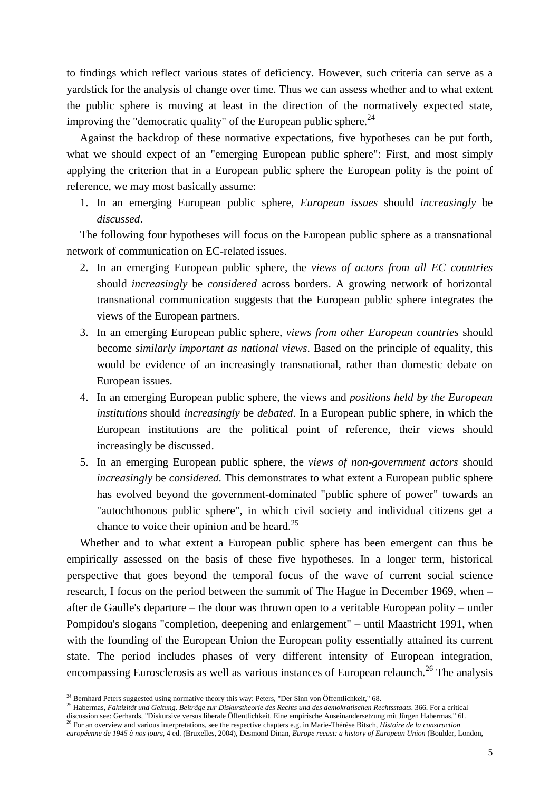to findings which reflect various states of deficiency. However, such criteria can serve as a yardstick for the analysis of change over time. Thus we can assess whether and to what extent the public sphere is moving at least in the direction of the normatively expected state, improving the "democratic quality" of the European public sphere.<sup>24</sup>

Against the backdrop of these normative expectations, five hypotheses can be put forth, what we should expect of an "emerging European public sphere": First, and most simply applying the criterion that in a European public sphere the European polity is the point of reference, we may most basically assume:

1. In an emerging European public sphere, *European issues* should *increasingly* be *discussed*.

The following four hypotheses will focus on the European public sphere as a transnational network of communication on EC-related issues.

- 2. In an emerging European public sphere, the *views of actors from all EC countries* should *increasingly* be *considered* across borders. A growing network of horizontal transnational communication suggests that the European public sphere integrates the views of the European partners.
- 3. In an emerging European public sphere, *views from other European countries* should become *similarly important as national views*. Based on the principle of equality, this would be evidence of an increasingly transnational, rather than domestic debate on European issues.
- 4. In an emerging European public sphere, the views and *positions held by the European institutions* should *increasingly* be *debated*. In a European public sphere, in which the European institutions are the political point of reference, their views should increasingly be discussed.
- 5. In an emerging European public sphere, the *views of non-government actors* should *increasingly* be *considered*. This demonstrates to what extent a European public sphere has evolved beyond the government-dominated "public sphere of power" towards an "autochthonous public sphere", in which civil society and individual citizens get a chance to voice their opinion and be heard.<sup>25</sup>

Whether and to what extent a European public sphere has been emergent can thus be empirically assessed on the basis of these five hypotheses. In a longer term, historical perspective that goes beyond the temporal focus of the wave of current social science research, I focus on the period between the summit of The Hague in December 1969, when – after de Gaulle's departure – the door was thrown open to a veritable European polity – under Pompidou's slogans "completion, deepening and enlargement" – until Maastricht 1991, when with the founding of the European Union the European polity essentially attained its current state. The period includes phases of very different intensity of European integration, encompassing Eurosclerosis as well as various instances of European relaunch.<sup>26</sup> The analysis

<sup>&</sup>lt;sup>24</sup> Bernhard Peters suggested using normative theory this way: Peters, "Der Sinn von Öffentlichkeit," 68.

<sup>25</sup> Habermas, *Faktizität und Geltung. Beiträge zur Diskurstheorie des Rechts und des demokratischen Rechtsstaats*. 366. For a critical discussion see: Gerhards, "Diskursive versus liberale Öffentlichkeit. Eine empirische Auseinandersetzung mit Jürgen Habermas," 6f.

<sup>26</sup> For an overview and various interpretations, see the respective chapters e.g. in Marie-Thérèse Bitsch, *Histoire de la construction européenne de 1945 à nos jours*, 4 ed. (Bruxelles, 2004), Desmond Dinan, *Europe recast: a history of European Union* (Boulder, London,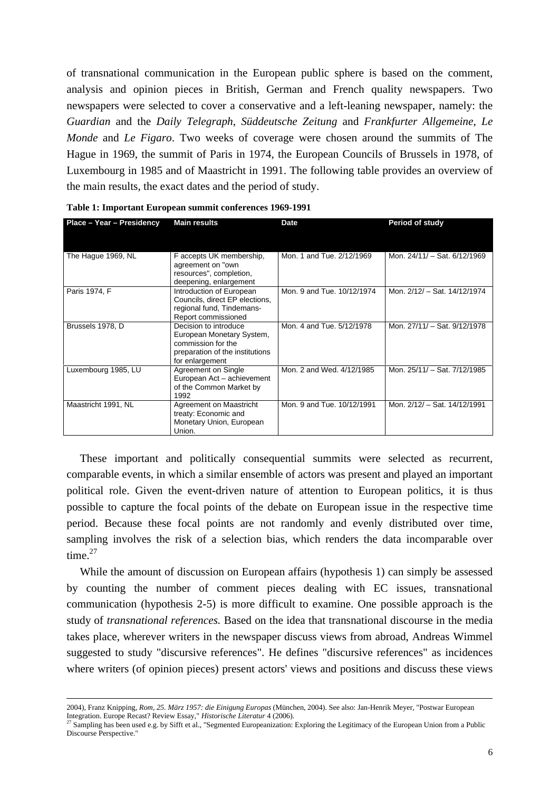of transnational communication in the European public sphere is based on the comment, analysis and opinion pieces in British, German and French quality newspapers. Two newspapers were selected to cover a conservative and a left-leaning newspaper, namely: the *Guardian* and the *Daily Telegraph*, *Süddeutsche Zeitung* and *Frankfurter Allgemeine*, *Le Monde* and *Le Figaro*. Two weeks of coverage were chosen around the summits of The Hague in 1969, the summit of Paris in 1974, the European Councils of Brussels in 1978, of Luxembourg in 1985 and of Maastricht in 1991. The following table provides an overview of the main results, the exact dates and the period of study.

| Place - Year - Presidency | <b>Main results</b>                                                                                                            | <b>Date</b>                | Period of study              |
|---------------------------|--------------------------------------------------------------------------------------------------------------------------------|----------------------------|------------------------------|
| The Haque 1969, NL        | F accepts UK membership,<br>agreement on "own<br>resources", completion,<br>deepening, enlargement                             | Mon. 1 and Tue. 2/12/1969  | Mon. 24/11/ - Sat. 6/12/1969 |
| Paris 1974, F             | Introduction of European<br>Councils, direct EP elections,<br>regional fund, Tindemans-<br>Report commissioned                 | Mon. 9 and Tue. 10/12/1974 | Mon. 2/12/ - Sat. 14/12/1974 |
| Brussels 1978, D          | Decision to introduce<br>European Monetary System,<br>commission for the<br>preparation of the institutions<br>for enlargement | Mon. 4 and Tue. 5/12/1978  | Mon. 27/11/ - Sat. 9/12/1978 |
| Luxembourg 1985, LU       | Agreement on Single<br>European Act - achievement<br>of the Common Market by<br>1992                                           | Mon. 2 and Wed. 4/12/1985  | Mon. 25/11/ - Sat. 7/12/1985 |
| Maastricht 1991, NL       | Agreement on Maastricht<br>treaty: Economic and<br>Monetary Union, European<br>Union.                                          | Mon. 9 and Tue. 10/12/1991 | Mon. 2/12/ - Sat. 14/12/1991 |

| Table 1: Important European summit conferences 1969-1991 |  |  |  |
|----------------------------------------------------------|--|--|--|
|----------------------------------------------------------|--|--|--|

These important and politically consequential summits were selected as recurrent, comparable events, in which a similar ensemble of actors was present and played an important political role. Given the event-driven nature of attention to European politics, it is thus possible to capture the focal points of the debate on European issue in the respective time period. Because these focal points are not randomly and evenly distributed over time, sampling involves the risk of a selection bias, which renders the data incomparable over time. $27$ 

While the amount of discussion on European affairs (hypothesis 1) can simply be assessed by counting the number of comment pieces dealing with EC issues, transnational communication (hypothesis 2-5) is more difficult to examine. One possible approach is the study of *transnational references.* Based on the idea that transnational discourse in the media takes place, wherever writers in the newspaper discuss views from abroad, Andreas Wimmel suggested to study "discursive references". He defines "discursive references" as incidences where writers (of opinion pieces) present actors' views and positions and discuss these views

<sup>2004),</sup> Franz Knipping, *Rom, 25. März 1957: die Einigung Europas* (München, 2004). See also: Jan-Henrik Meyer, "Postwar European Integration. Europe Recast? Review Essay," *Historische Literatur* 4 (2006).

<sup>&</sup>lt;sup>27</sup> Sampling has been used e.g. by Sifft et al., "Segmented Europeanization: Exploring the Legitimacy of the European Union from a Public Discourse Perspective."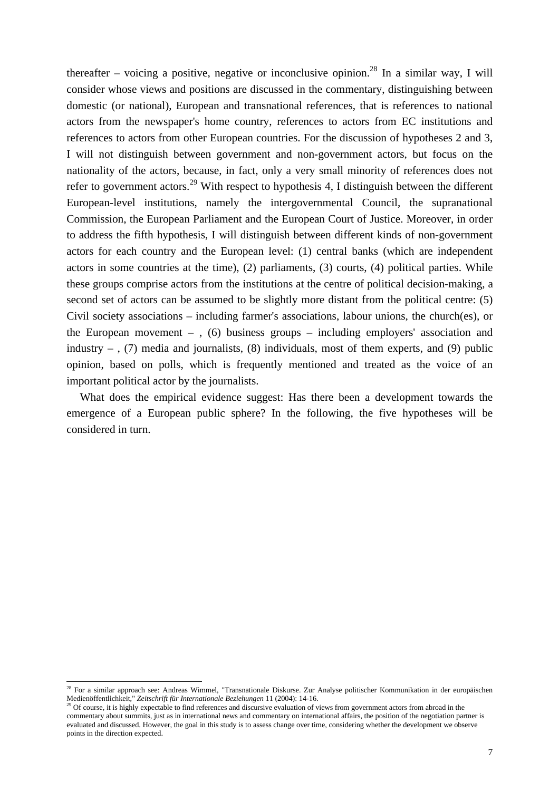thereafter – voicing a positive, negative or inconclusive opinion.<sup>28</sup> In a similar way, I will consider whose views and positions are discussed in the commentary, distinguishing between domestic (or national), European and transnational references, that is references to national actors from the newspaper's home country, references to actors from EC institutions and references to actors from other European countries. For the discussion of hypotheses 2 and 3, I will not distinguish between government and non-government actors, but focus on the nationality of the actors, because, in fact, only a very small minority of references does not refer to government actors.<sup>29</sup> With respect to hypothesis 4, I distinguish between the different European-level institutions, namely the intergovernmental Council, the supranational Commission, the European Parliament and the European Court of Justice. Moreover, in order to address the fifth hypothesis, I will distinguish between different kinds of non-government actors for each country and the European level: (1) central banks (which are independent actors in some countries at the time), (2) parliaments, (3) courts, (4) political parties. While these groups comprise actors from the institutions at the centre of political decision-making, a second set of actors can be assumed to be slightly more distant from the political centre: (5) Civil society associations – including farmer's associations, labour unions, the church(es), or the European movement –,  $(6)$  business groups – including employers' association and industry  $-$  , (7) media and journalists, (8) individuals, most of them experts, and (9) public opinion, based on polls, which is frequently mentioned and treated as the voice of an important political actor by the journalists.

What does the empirical evidence suggest: Has there been a development towards the emergence of a European public sphere? In the following, the five hypotheses will be considered in turn.

<sup>&</sup>lt;sup>28</sup> For a similar approach see: Andreas Wimmel, "Transnationale Diskurse. Zur Analyse politischer Kommunikation in der europäischen Medienöffentlichkeit," *Zeitschrift für Internationale Beziehungen* 11 (2004): 14-16.

<sup>29</sup> Of course, it is highly expectable to find references and discursive evaluation of views from government actors from abroad in the commentary about summits, just as in international news and commentary on international affairs, the position of the negotiation partner is evaluated and discussed. However, the goal in this study is to assess change over time, considering whether the development we observe points in the direction expected.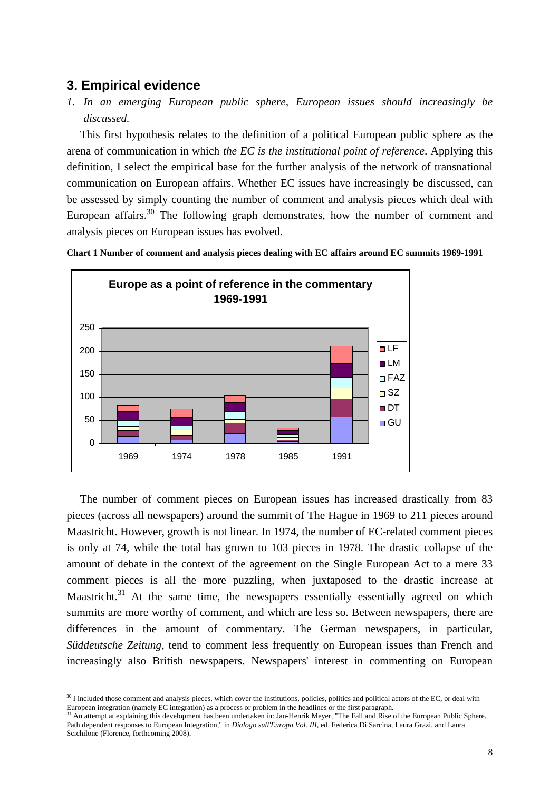# **3. Empirical evidence**

 $\overline{a}$ 

*1. In an emerging European public sphere, European issues should increasingly be discussed.*

This first hypothesis relates to the definition of a political European public sphere as the arena of communication in which *the EC is the institutional point of reference*. Applying this definition, I select the empirical base for the further analysis of the network of transnational communication on European affairs. Whether EC issues have increasingly be discussed, can be assessed by simply counting the number of comment and analysis pieces which deal with European affairs.<sup>30</sup> The following graph demonstrates, how the number of comment and analysis pieces on European issues has evolved.



**Chart 1 Number of comment and analysis pieces dealing with EC affairs around EC summits 1969-1991**

The number of comment pieces on European issues has increased drastically from 83 pieces (across all newspapers) around the summit of The Hague in 1969 to 211 pieces around Maastricht. However, growth is not linear. In 1974, the number of EC-related comment pieces is only at 74, while the total has grown to 103 pieces in 1978. The drastic collapse of the amount of debate in the context of the agreement on the Single European Act to a mere 33 comment pieces is all the more puzzling, when juxtaposed to the drastic increase at Maastricht.<sup>31</sup> At the same time, the newspapers essentially essentially agreed on which summits are more worthy of comment, and which are less so. Between newspapers, there are differences in the amount of commentary. The German newspapers, in particular, *Süddeutsche Zeitung*, tend to comment less frequently on European issues than French and increasingly also British newspapers. Newspapers' interest in commenting on European

<sup>&</sup>lt;sup>30</sup> I included those comment and analysis pieces, which cover the institutions, policies, politics and political actors of the EC, or deal with European integration (namely EC integration) as a process or problem in the headlines or the first paragraph.

<sup>&</sup>lt;sup>31</sup> An attempt at explaining this development has been undertaken in: Jan-Henrik Meyer, "The Fall and Rise of the European Public Sphere. Path dependent responses to European Integration," in *Dialogo sull'Europa Vol. III*, ed. Federica Di Sarcina, Laura Grazi, and Laura Scichilone (Florence, forthcoming 2008).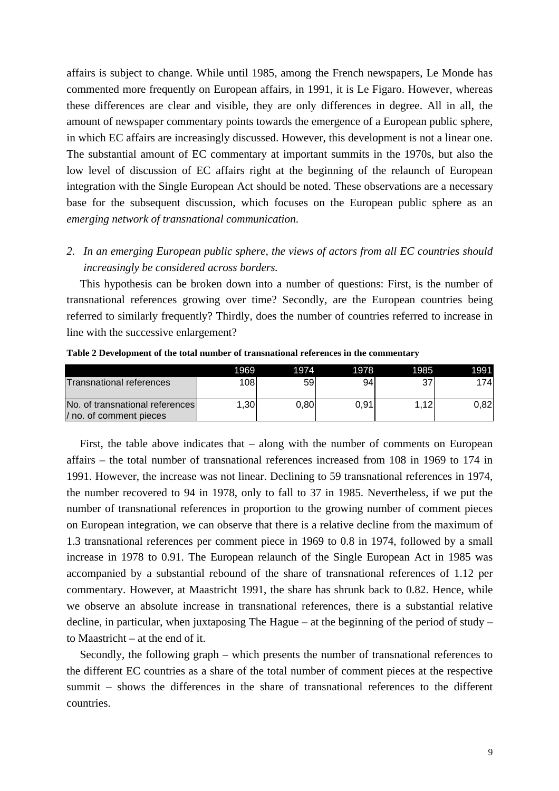affairs is subject to change. While until 1985, among the French newspapers, Le Monde has commented more frequently on European affairs, in 1991, it is Le Figaro. However, whereas these differences are clear and visible, they are only differences in degree. All in all, the amount of newspaper commentary points towards the emergence of a European public sphere, in which EC affairs are increasingly discussed. However, this development is not a linear one. The substantial amount of EC commentary at important summits in the 1970s, but also the low level of discussion of EC affairs right at the beginning of the relaunch of European integration with the Single European Act should be noted. These observations are a necessary base for the subsequent discussion, which focuses on the European public sphere as an *emerging network of transnational communication*.

## *2. In an emerging European public sphere, the views of actors from all EC countries should increasingly be considered across borders.*

This hypothesis can be broken down into a number of questions: First, is the number of transnational references growing over time? Secondly, are the European countries being referred to similarly frequently? Thirdly, does the number of countries referred to increase in line with the successive enlargement?

|                                                            | 1969             | <b>PI974</b> | 1978 | 1985  | 1991 |
|------------------------------------------------------------|------------------|--------------|------|-------|------|
| Transnational references                                   | 108              | 59           | 94   |       | 1741 |
| No. of transnational references<br>/ no. of comment pieces | .30 <sub>l</sub> | 0,80         | 0.91 | 1.12. | 0.82 |

**Table 2 Development of the total number of transnational references in the commentary**

First, the table above indicates that – along with the number of comments on European affairs – the total number of transnational references increased from 108 in 1969 to 174 in 1991. However, the increase was not linear. Declining to 59 transnational references in 1974, the number recovered to 94 in 1978, only to fall to 37 in 1985. Nevertheless, if we put the number of transnational references in proportion to the growing number of comment pieces on European integration, we can observe that there is a relative decline from the maximum of 1.3 transnational references per comment piece in 1969 to 0.8 in 1974, followed by a small increase in 1978 to 0.91. The European relaunch of the Single European Act in 1985 was accompanied by a substantial rebound of the share of transnational references of 1.12 per commentary. However, at Maastricht 1991, the share has shrunk back to 0.82. Hence, while we observe an absolute increase in transnational references, there is a substantial relative decline, in particular, when juxtaposing The Hague – at the beginning of the period of study – to Maastricht – at the end of it.

Secondly, the following graph – which presents the number of transnational references to the different EC countries as a share of the total number of comment pieces at the respective summit – shows the differences in the share of transnational references to the different countries.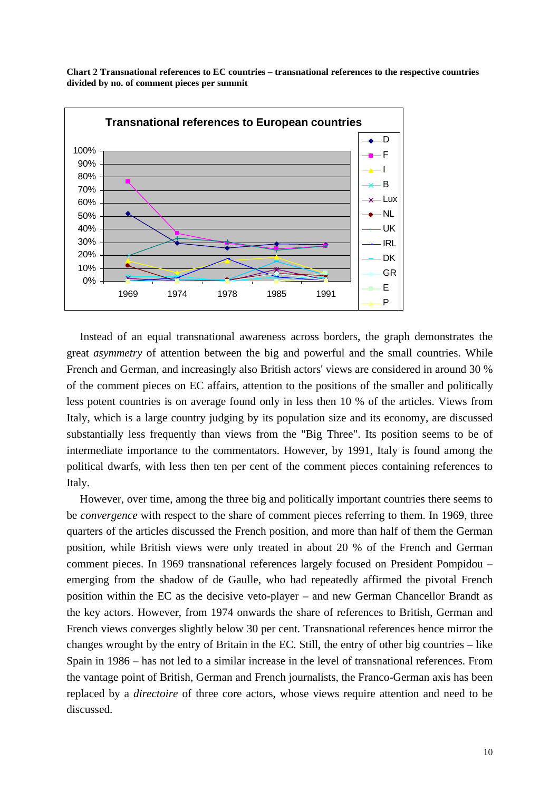**Chart 2 Transnational references to EC countries – transnational references to the respective countries divided by no. of comment pieces per summit**



Instead of an equal transnational awareness across borders, the graph demonstrates the great *asymmetry* of attention between the big and powerful and the small countries. While French and German, and increasingly also British actors' views are considered in around 30 % of the comment pieces on EC affairs, attention to the positions of the smaller and politically less potent countries is on average found only in less then 10 % of the articles. Views from Italy, which is a large country judging by its population size and its economy, are discussed substantially less frequently than views from the "Big Three". Its position seems to be of intermediate importance to the commentators. However, by 1991, Italy is found among the political dwarfs, with less then ten per cent of the comment pieces containing references to Italy.

However, over time, among the three big and politically important countries there seems to be *convergence* with respect to the share of comment pieces referring to them. In 1969, three quarters of the articles discussed the French position, and more than half of them the German position, while British views were only treated in about 20 % of the French and German comment pieces. In 1969 transnational references largely focused on President Pompidou – emerging from the shadow of de Gaulle, who had repeatedly affirmed the pivotal French position within the EC as the decisive veto-player – and new German Chancellor Brandt as the key actors. However, from 1974 onwards the share of references to British, German and French views converges slightly below 30 per cent. Transnational references hence mirror the changes wrought by the entry of Britain in the EC. Still, the entry of other big countries – like Spain in 1986 – has not led to a similar increase in the level of transnational references. From the vantage point of British, German and French journalists, the Franco-German axis has been replaced by a *directoire* of three core actors, whose views require attention and need to be discussed.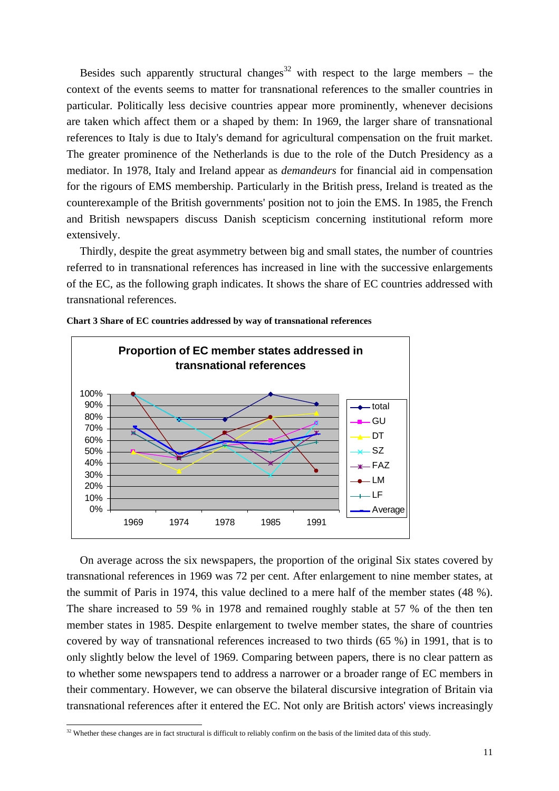Besides such apparently structural changes<sup>32</sup> with respect to the large members – the context of the events seems to matter for transnational references to the smaller countries in particular. Politically less decisive countries appear more prominently, whenever decisions are taken which affect them or a shaped by them: In 1969, the larger share of transnational references to Italy is due to Italy's demand for agricultural compensation on the fruit market. The greater prominence of the Netherlands is due to the role of the Dutch Presidency as a mediator. In 1978, Italy and Ireland appear as *demandeurs* for financial aid in compensation for the rigours of EMS membership. Particularly in the British press, Ireland is treated as the counterexample of the British governments' position not to join the EMS. In 1985, the French and British newspapers discuss Danish scepticism concerning institutional reform more extensively.

Thirdly, despite the great asymmetry between big and small states, the number of countries referred to in transnational references has increased in line with the successive enlargements of the EC, as the following graph indicates. It shows the share of EC countries addressed with transnational references.



**Chart 3 Share of EC countries addressed by way of transnational references**

On average across the six newspapers, the proportion of the original Six states covered by transnational references in 1969 was 72 per cent. After enlargement to nine member states, at the summit of Paris in 1974, this value declined to a mere half of the member states (48 %). The share increased to 59 % in 1978 and remained roughly stable at 57 % of the then ten member states in 1985. Despite enlargement to twelve member states, the share of countries covered by way of transnational references increased to two thirds (65 %) in 1991, that is to only slightly below the level of 1969. Comparing between papers, there is no clear pattern as to whether some newspapers tend to address a narrower or a broader range of EC members in their commentary. However, we can observe the bilateral discursive integration of Britain via transnational references after it entered the EC. Not only are British actors' views increasingly

 $32$  Whether these changes are in fact structural is difficult to reliably confirm on the basis of the limited data of this study.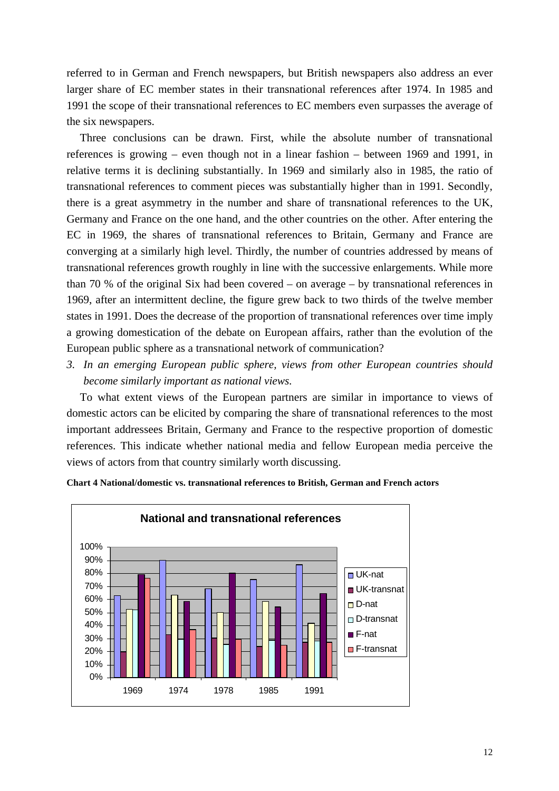referred to in German and French newspapers, but British newspapers also address an ever larger share of EC member states in their transnational references after 1974. In 1985 and 1991 the scope of their transnational references to EC members even surpasses the average of the six newspapers.

Three conclusions can be drawn. First, while the absolute number of transnational references is growing – even though not in a linear fashion – between 1969 and 1991, in relative terms it is declining substantially. In 1969 and similarly also in 1985, the ratio of transnational references to comment pieces was substantially higher than in 1991. Secondly, there is a great asymmetry in the number and share of transnational references to the UK, Germany and France on the one hand, and the other countries on the other. After entering the EC in 1969, the shares of transnational references to Britain, Germany and France are converging at a similarly high level. Thirdly, the number of countries addressed by means of transnational references growth roughly in line with the successive enlargements. While more than 70 % of the original Six had been covered – on average – by transnational references in 1969, after an intermittent decline, the figure grew back to two thirds of the twelve member states in 1991. Does the decrease of the proportion of transnational references over time imply a growing domestication of the debate on European affairs, rather than the evolution of the European public sphere as a transnational network of communication?

*3. In an emerging European public sphere, views from other European countries should become similarly important as national views.*

To what extent views of the European partners are similar in importance to views of domestic actors can be elicited by comparing the share of transnational references to the most important addressees Britain, Germany and France to the respective proportion of domestic references. This indicate whether national media and fellow European media perceive the views of actors from that country similarly worth discussing.



**Chart 4 National/domestic vs. transnational references to British, German and French actors**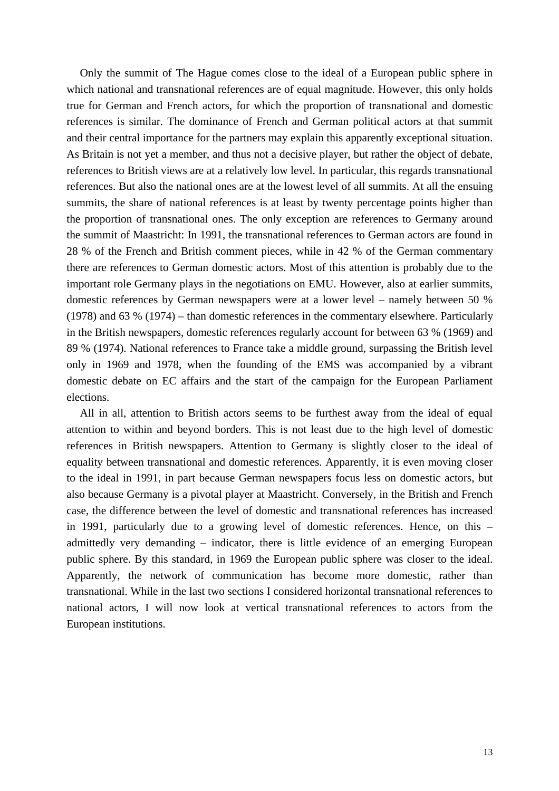Only the summit of The Hague comes close to the ideal of a European public sphere in which national and transnational references are of equal magnitude. However, this only holds true for German and French actors, for which the proportion of transnational and domestic references is similar. The dominance of French and German political actors at that summit and their central importance for the partners may explain this apparently exceptional situation. As Britain is not yet a member, and thus not a decisive player, but rather the object of debate, references to British views are at a relatively low level. In particular, this regards transnational references. But also the national ones are at the lowest level of all summits. At all the ensuing summits, the share of national references is at least by twenty percentage points higher than the proportion of transnational ones. The only exception are references to Germany around the summit of Maastricht: In 1991, the transnational references to German actors are found in 28 % of the French and British comment pieces, while in 42 % of the German commentary there are references to German domestic actors. Most of this attention is probably due to the important role Germany plays in the negotiations on EMU. However, also at earlier summits, domestic references by German newspapers were at a lower level – namely between 50 % (1978) and 63 % (1974) – than domestic references in the commentary elsewhere. Particularly in the British newspapers, domestic references regularly account for between 63 % (1969) and 89 % (1974). National references to France take a middle ground, surpassing the British level only in 1969 and 1978, when the founding of the EMS was accompanied by a vibrant domestic debate on EC affairs and the start of the campaign for the European Parliament elections.

All in all, attention to British actors seems to be furthest away from the ideal of equal attention to within and beyond borders. This is not least due to the high level of domestic references in British newspapers. Attention to Germany is slightly closer to the ideal of equality between transnational and domestic references. Apparently, it is even moving closer to the ideal in 1991, in part because German newspapers focus less on domestic actors, but also because Germany is a pivotal player at Maastricht. Conversely, in the British and French case, the difference between the level of domestic and transnational references has increased in 1991, particularly due to a growing level of domestic references. Hence, on this – admittedly very demanding – indicator, there is little evidence of an emerging European public sphere. By this standard, in 1969 the European public sphere was closer to the ideal. Apparently, the network of communication has become more domestic, rather than transnational. While in the last two sections I considered horizontal transnational references to national actors, I will now look at vertical transnational references to actors from the European institutions.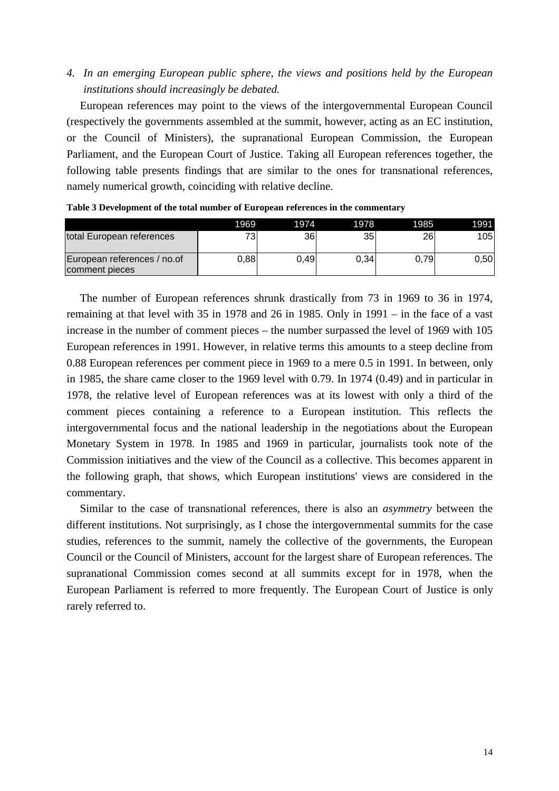## *4. In an emerging European public sphere, the views and positions held by the European institutions should increasingly be debated.*

European references may point to the views of the intergovernmental European Council (respectively the governments assembled at the summit, however, acting as an EC institution, or the Council of Ministers), the supranational European Commission, the European Parliament, and the European Court of Justice. Taking all European references together, the following table presents findings that are similar to the ones for transnational references, namely numerical growth, coinciding with relative decline.

|                                               | 1969  | 1974 | 1978 | 1985 | 1991 |
|-----------------------------------------------|-------|------|------|------|------|
| total European references                     | 73    | 36   | 35   | 26   | 105  |
| European references / no.of<br>comment pieces | 0.881 | 0.49 | 0.34 | 0.79 | 0.50 |

**Table 3 Development of the total number of European references in the commentary**

The number of European references shrunk drastically from 73 in 1969 to 36 in 1974, remaining at that level with 35 in 1978 and 26 in 1985. Only in 1991 – in the face of a vast increase in the number of comment pieces – the number surpassed the level of 1969 with 105 European references in 1991. However, in relative terms this amounts to a steep decline from 0.88 European references per comment piece in 1969 to a mere 0.5 in 1991. In between, only in 1985, the share came closer to the 1969 level with 0.79. In 1974 (0.49) and in particular in 1978, the relative level of European references was at its lowest with only a third of the comment pieces containing a reference to a European institution. This reflects the intergovernmental focus and the national leadership in the negotiations about the European Monetary System in 1978. In 1985 and 1969 in particular, journalists took note of the Commission initiatives and the view of the Council as a collective. This becomes apparent in the following graph, that shows, which European institutions' views are considered in the commentary.

Similar to the case of transnational references, there is also an *asymmetry* between the different institutions. Not surprisingly, as I chose the intergovernmental summits for the case studies, references to the summit, namely the collective of the governments, the European Council or the Council of Ministers, account for the largest share of European references. The supranational Commission comes second at all summits except for in 1978, when the European Parliament is referred to more frequently. The European Court of Justice is only rarely referred to.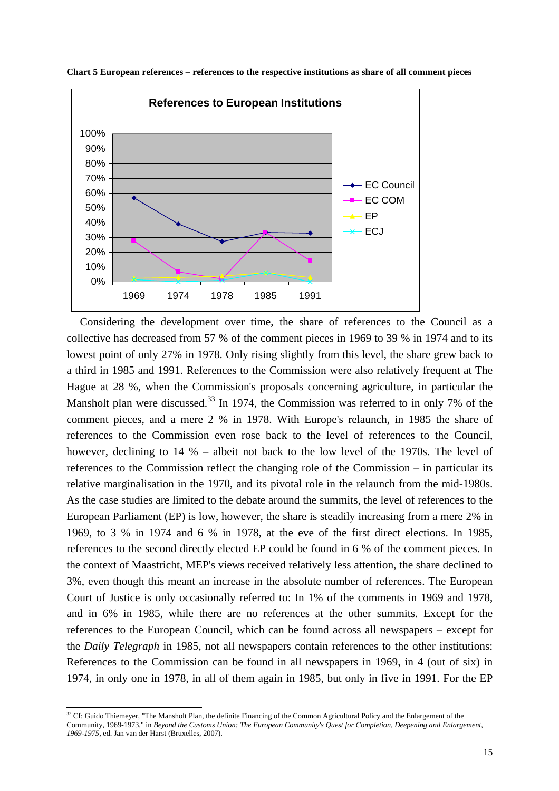

**Chart 5 European references – references to the respective institutions as share of all comment pieces**

Considering the development over time, the share of references to the Council as a collective has decreased from 57 % of the comment pieces in 1969 to 39 % in 1974 and to its lowest point of only 27% in 1978. Only rising slightly from this level, the share grew back to a third in 1985 and 1991. References to the Commission were also relatively frequent at The Hague at 28 %, when the Commission's proposals concerning agriculture, in particular the Mansholt plan were discussed.<sup>33</sup> In 1974, the Commission was referred to in only 7% of the comment pieces, and a mere 2 % in 1978. With Europe's relaunch, in 1985 the share of references to the Commission even rose back to the level of references to the Council, however, declining to 14 % – albeit not back to the low level of the 1970s. The level of references to the Commission reflect the changing role of the Commission – in particular its relative marginalisation in the 1970, and its pivotal role in the relaunch from the mid-1980s. As the case studies are limited to the debate around the summits, the level of references to the European Parliament (EP) is low, however, the share is steadily increasing from a mere 2% in 1969, to 3 % in 1974 and 6 % in 1978, at the eve of the first direct elections. In 1985, references to the second directly elected EP could be found in 6 % of the comment pieces. In the context of Maastricht, MEP's views received relatively less attention, the share declined to 3%, even though this meant an increase in the absolute number of references. The European Court of Justice is only occasionally referred to: In 1% of the comments in 1969 and 1978, and in 6% in 1985, while there are no references at the other summits. Except for the references to the European Council, which can be found across all newspapers – except for the *Daily Telegraph* in 1985, not all newspapers contain references to the other institutions: References to the Commission can be found in all newspapers in 1969, in 4 (out of six) in 1974, in only one in 1978, in all of them again in 1985, but only in five in 1991. For the EP

<sup>&</sup>lt;sup>33</sup> Cf: Guido Thiemeyer, "The Mansholt Plan, the definite Financing of the Common Agricultural Policy and the Enlargement of the Community, 1969-1973," in *Beyond the Customs Union: The European Community's Quest for Completion, Deepening and Enlargement, 1969-1975*, ed. Jan van der Harst (Bruxelles, 2007).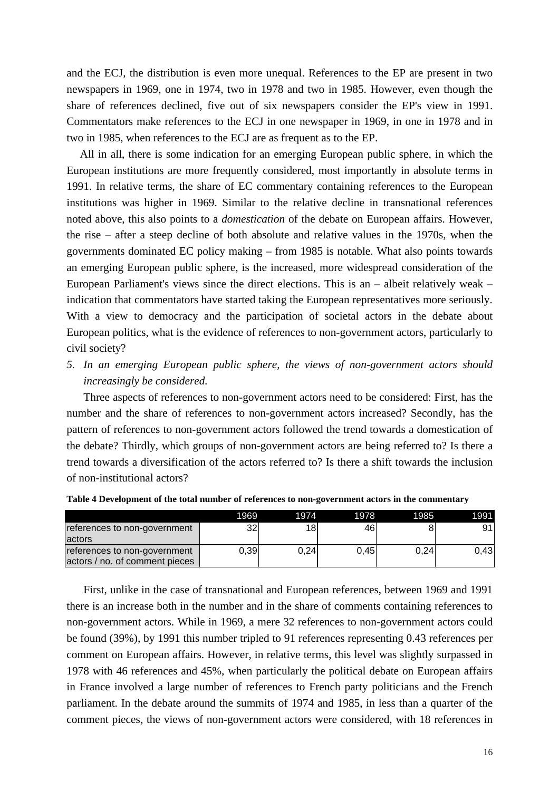and the ECJ, the distribution is even more unequal. References to the EP are present in two newspapers in 1969, one in 1974, two in 1978 and two in 1985. However, even though the share of references declined, five out of six newspapers consider the EP's view in 1991. Commentators make references to the ECJ in one newspaper in 1969, in one in 1978 and in two in 1985, when references to the ECJ are as frequent as to the EP.

All in all, there is some indication for an emerging European public sphere, in which the European institutions are more frequently considered, most importantly in absolute terms in 1991. In relative terms, the share of EC commentary containing references to the European institutions was higher in 1969. Similar to the relative decline in transnational references noted above, this also points to a *domestication* of the debate on European affairs. However, the rise – after a steep decline of both absolute and relative values in the 1970s, when the governments dominated EC policy making – from 1985 is notable. What also points towards an emerging European public sphere, is the increased, more widespread consideration of the European Parliament's views since the direct elections. This is an – albeit relatively weak – indication that commentators have started taking the European representatives more seriously. With a view to democracy and the participation of societal actors in the debate about European politics, what is the evidence of references to non-government actors, particularly to civil society?

*5. In an emerging European public sphere, the views of non-government actors should increasingly be considered.*

Three aspects of references to non-government actors need to be considered: First, has the number and the share of references to non-government actors increased? Secondly, has the pattern of references to non-government actors followed the trend towards a domestication of the debate? Thirdly, which groups of non-government actors are being referred to? Is there a trend towards a diversification of the actors referred to? Is there a shift towards the inclusion of non-institutional actors?

|                                                                | 1969 | 1974            | 1978 | 1985 | 1991 |
|----------------------------------------------------------------|------|-----------------|------|------|------|
| references to non-government<br>lactors                        | 32   | 18 <sub>1</sub> | 46   |      | 91   |
| references to non-government<br>actors / no. of comment pieces | 0,39 | 0.24            | 0.45 | 0.24 | 0.43 |

**Table 4 Development of the total number of references to non-government actors in the commentary**

First, unlike in the case of transnational and European references, between 1969 and 1991 there is an increase both in the number and in the share of comments containing references to non-government actors. While in 1969, a mere 32 references to non-government actors could be found (39%), by 1991 this number tripled to 91 references representing 0.43 references per comment on European affairs. However, in relative terms, this level was slightly surpassed in 1978 with 46 references and 45%, when particularly the political debate on European affairs in France involved a large number of references to French party politicians and the French parliament. In the debate around the summits of 1974 and 1985, in less than a quarter of the comment pieces, the views of non-government actors were considered, with 18 references in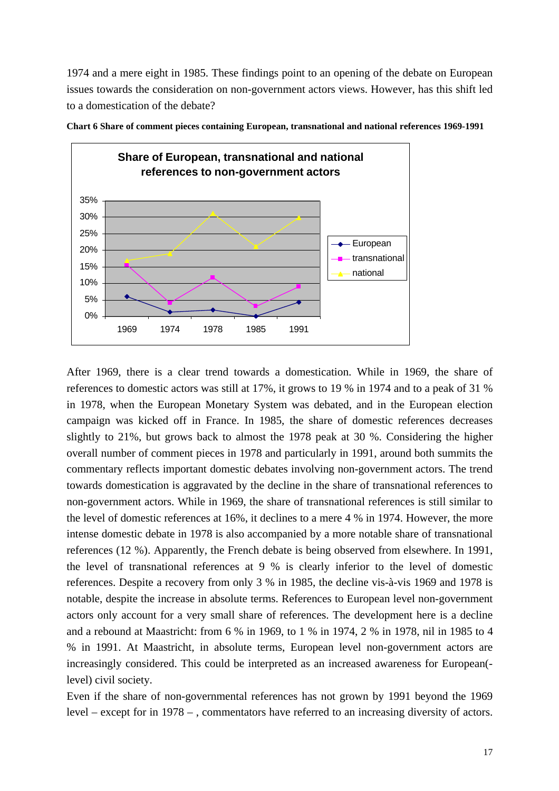1974 and a mere eight in 1985. These findings point to an opening of the debate on European issues towards the consideration on non-government actors views. However, has this shift led to a domestication of the debate?



**Chart 6 Share of comment pieces containing European, transnational and national references 1969-1991**

After 1969, there is a clear trend towards a domestication. While in 1969, the share of references to domestic actors was still at 17%, it grows to 19 % in 1974 and to a peak of 31 % in 1978, when the European Monetary System was debated, and in the European election campaign was kicked off in France. In 1985, the share of domestic references decreases slightly to 21%, but grows back to almost the 1978 peak at 30 %. Considering the higher overall number of comment pieces in 1978 and particularly in 1991, around both summits the commentary reflects important domestic debates involving non-government actors. The trend towards domestication is aggravated by the decline in the share of transnational references to non-government actors. While in 1969, the share of transnational references is still similar to the level of domestic references at 16%, it declines to a mere 4 % in 1974. However, the more intense domestic debate in 1978 is also accompanied by a more notable share of transnational references (12 %). Apparently, the French debate is being observed from elsewhere. In 1991, the level of transnational references at 9 % is clearly inferior to the level of domestic references. Despite a recovery from only 3 % in 1985, the decline vis-à-vis 1969 and 1978 is notable, despite the increase in absolute terms. References to European level non-government actors only account for a very small share of references. The development here is a decline and a rebound at Maastricht: from 6 % in 1969, to 1 % in 1974, 2 % in 1978, nil in 1985 to 4 % in 1991. At Maastricht, in absolute terms, European level non-government actors are increasingly considered. This could be interpreted as an increased awareness for European( level) civil society.

Even if the share of non-governmental references has not grown by 1991 beyond the 1969 level – except for in 1978 – , commentators have referred to an increasing diversity of actors.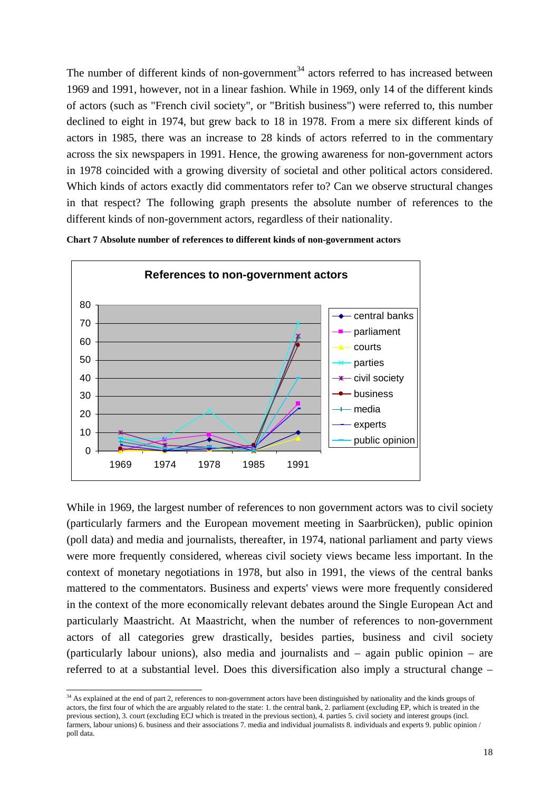The number of different kinds of non-government<sup>34</sup> actors referred to has increased between 1969 and 1991, however, not in a linear fashion. While in 1969, only 14 of the different kinds of actors (such as "French civil society", or "British business") were referred to, this number declined to eight in 1974, but grew back to 18 in 1978. From a mere six different kinds of actors in 1985, there was an increase to 28 kinds of actors referred to in the commentary across the six newspapers in 1991. Hence, the growing awareness for non-government actors in 1978 coincided with a growing diversity of societal and other political actors considered. Which kinds of actors exactly did commentators refer to? Can we observe structural changes in that respect? The following graph presents the absolute number of references to the different kinds of non-government actors, regardless of their nationality.





While in 1969, the largest number of references to non government actors was to civil society (particularly farmers and the European movement meeting in Saarbrücken), public opinion (poll data) and media and journalists, thereafter, in 1974, national parliament and party views were more frequently considered, whereas civil society views became less important. In the context of monetary negotiations in 1978, but also in 1991, the views of the central banks mattered to the commentators. Business and experts' views were more frequently considered in the context of the more economically relevant debates around the Single European Act and particularly Maastricht. At Maastricht, when the number of references to non-government actors of all categories grew drastically, besides parties, business and civil society (particularly labour unions), also media and journalists and – again public opinion – are referred to at a substantial level. Does this diversification also imply a structural change –

 $34$  As explained at the end of part 2, references to non-government actors have been distinguished by nationality and the kinds groups of actors, the first four of which the are arguably related to the state: 1. the central bank, 2. parliament (excluding EP, which is treated in the previous section), 3. court (excluding ECJ which is treated in the previous section), 4. parties 5. civil society and interest groups (incl. farmers, labour unions) 6. business and their associations 7. media and individual journalists 8. individuals and experts 9. public opinion / poll data.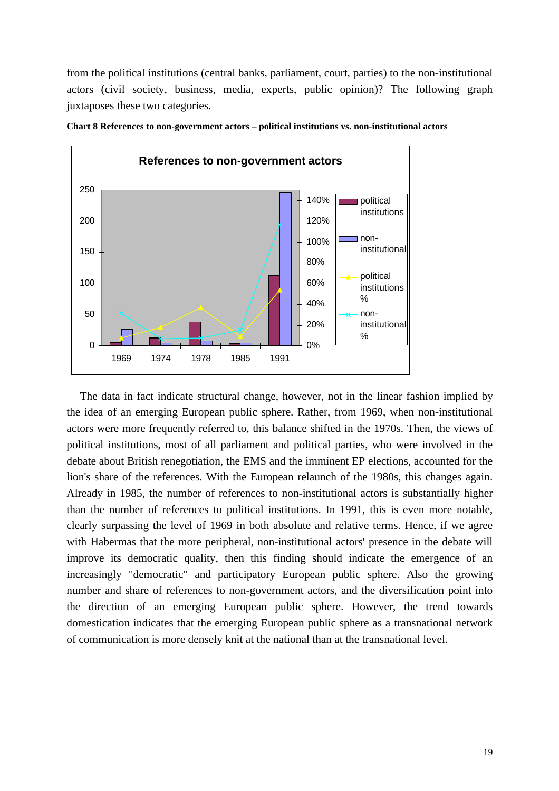from the political institutions (central banks, parliament, court, parties) to the non-institutional actors (civil society, business, media, experts, public opinion)? The following graph juxtaposes these two categories.



**Chart 8 References to non-government actors – political institutions vs. non-institutional actors**

The data in fact indicate structural change, however, not in the linear fashion implied by the idea of an emerging European public sphere. Rather, from 1969, when non-institutional actors were more frequently referred to, this balance shifted in the 1970s. Then, the views of political institutions, most of all parliament and political parties, who were involved in the debate about British renegotiation, the EMS and the imminent EP elections, accounted for the lion's share of the references. With the European relaunch of the 1980s, this changes again. Already in 1985, the number of references to non-institutional actors is substantially higher than the number of references to political institutions. In 1991, this is even more notable, clearly surpassing the level of 1969 in both absolute and relative terms. Hence, if we agree with Habermas that the more peripheral, non-institutional actors' presence in the debate will improve its democratic quality, then this finding should indicate the emergence of an increasingly "democratic" and participatory European public sphere. Also the growing number and share of references to non-government actors, and the diversification point into the direction of an emerging European public sphere. However, the trend towards domestication indicates that the emerging European public sphere as a transnational network of communication is more densely knit at the national than at the transnational level.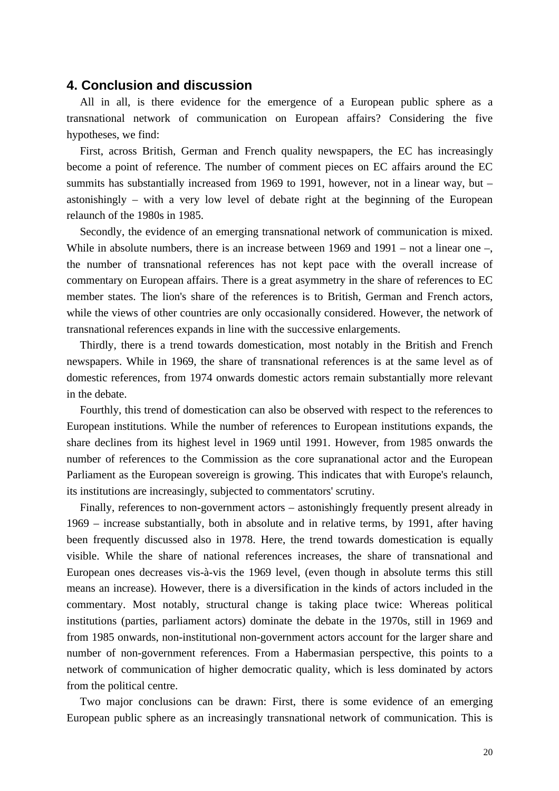#### **4. Conclusion and discussion**

All in all, is there evidence for the emergence of a European public sphere as a transnational network of communication on European affairs? Considering the five hypotheses, we find:

First, across British, German and French quality newspapers, the EC has increasingly become a point of reference. The number of comment pieces on EC affairs around the EC summits has substantially increased from 1969 to 1991, however, not in a linear way, but – astonishingly – with a very low level of debate right at the beginning of the European relaunch of the 1980s in 1985.

Secondly, the evidence of an emerging transnational network of communication is mixed. While in absolute numbers, there is an increase between 1969 and 1991 – not a linear one –, the number of transnational references has not kept pace with the overall increase of commentary on European affairs. There is a great asymmetry in the share of references to EC member states. The lion's share of the references is to British, German and French actors, while the views of other countries are only occasionally considered. However, the network of transnational references expands in line with the successive enlargements.

Thirdly, there is a trend towards domestication, most notably in the British and French newspapers. While in 1969, the share of transnational references is at the same level as of domestic references, from 1974 onwards domestic actors remain substantially more relevant in the debate.

Fourthly, this trend of domestication can also be observed with respect to the references to European institutions. While the number of references to European institutions expands, the share declines from its highest level in 1969 until 1991. However, from 1985 onwards the number of references to the Commission as the core supranational actor and the European Parliament as the European sovereign is growing. This indicates that with Europe's relaunch, its institutions are increasingly, subjected to commentators' scrutiny.

Finally, references to non-government actors – astonishingly frequently present already in 1969 – increase substantially, both in absolute and in relative terms, by 1991, after having been frequently discussed also in 1978. Here, the trend towards domestication is equally visible. While the share of national references increases, the share of transnational and European ones decreases vis-à-vis the 1969 level, (even though in absolute terms this still means an increase). However, there is a diversification in the kinds of actors included in the commentary. Most notably, structural change is taking place twice: Whereas political institutions (parties, parliament actors) dominate the debate in the 1970s, still in 1969 and from 1985 onwards, non-institutional non-government actors account for the larger share and number of non-government references. From a Habermasian perspective, this points to a network of communication of higher democratic quality, which is less dominated by actors from the political centre.

Two major conclusions can be drawn: First, there is some evidence of an emerging European public sphere as an increasingly transnational network of communication. This is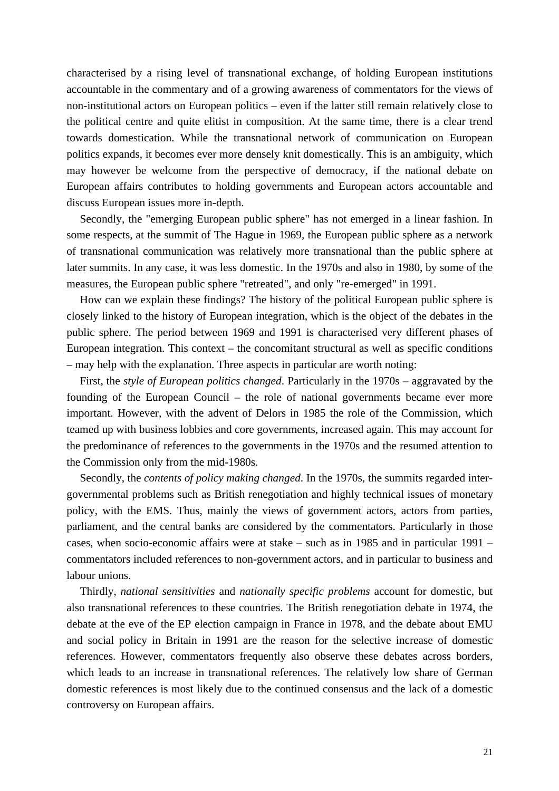characterised by a rising level of transnational exchange, of holding European institutions accountable in the commentary and of a growing awareness of commentators for the views of non-institutional actors on European politics – even if the latter still remain relatively close to the political centre and quite elitist in composition. At the same time, there is a clear trend towards domestication. While the transnational network of communication on European politics expands, it becomes ever more densely knit domestically. This is an ambiguity, which may however be welcome from the perspective of democracy, if the national debate on European affairs contributes to holding governments and European actors accountable and discuss European issues more in-depth.

Secondly, the "emerging European public sphere" has not emerged in a linear fashion. In some respects, at the summit of The Hague in 1969, the European public sphere as a network of transnational communication was relatively more transnational than the public sphere at later summits. In any case, it was less domestic. In the 1970s and also in 1980, by some of the measures, the European public sphere "retreated", and only "re-emerged" in 1991.

How can we explain these findings? The history of the political European public sphere is closely linked to the history of European integration, which is the object of the debates in the public sphere. The period between 1969 and 1991 is characterised very different phases of European integration. This context – the concomitant structural as well as specific conditions – may help with the explanation. Three aspects in particular are worth noting:

First, the *style of European politics changed*. Particularly in the 1970s – aggravated by the founding of the European Council – the role of national governments became ever more important. However, with the advent of Delors in 1985 the role of the Commission, which teamed up with business lobbies and core governments, increased again. This may account for the predominance of references to the governments in the 1970s and the resumed attention to the Commission only from the mid-1980s.

Secondly, the *contents of policy making changed*. In the 1970s, the summits regarded intergovernmental problems such as British renegotiation and highly technical issues of monetary policy, with the EMS. Thus, mainly the views of government actors, actors from parties, parliament, and the central banks are considered by the commentators. Particularly in those cases, when socio-economic affairs were at stake – such as in 1985 and in particular 1991 – commentators included references to non-government actors, and in particular to business and labour unions.

Thirdly, *national sensitivities* and *nationally specific problems* account for domestic, but also transnational references to these countries. The British renegotiation debate in 1974, the debate at the eve of the EP election campaign in France in 1978, and the debate about EMU and social policy in Britain in 1991 are the reason for the selective increase of domestic references. However, commentators frequently also observe these debates across borders, which leads to an increase in transnational references. The relatively low share of German domestic references is most likely due to the continued consensus and the lack of a domestic controversy on European affairs.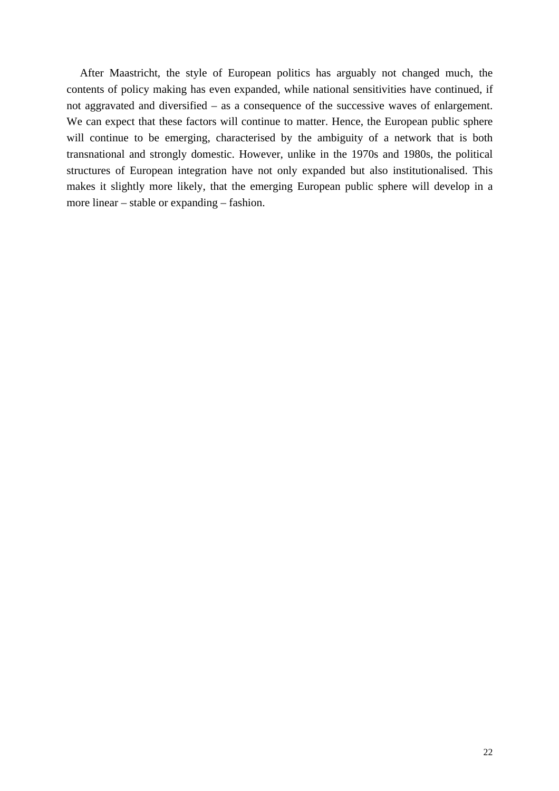After Maastricht, the style of European politics has arguably not changed much, the contents of policy making has even expanded, while national sensitivities have continued, if not aggravated and diversified – as a consequence of the successive waves of enlargement. We can expect that these factors will continue to matter. Hence, the European public sphere will continue to be emerging, characterised by the ambiguity of a network that is both transnational and strongly domestic. However, unlike in the 1970s and 1980s, the political structures of European integration have not only expanded but also institutionalised. This makes it slightly more likely, that the emerging European public sphere will develop in a more linear – stable or expanding – fashion.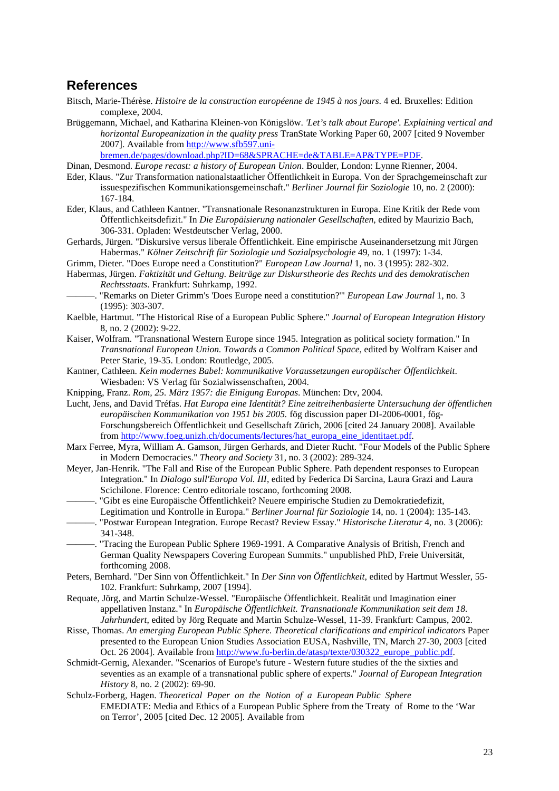#### **References**

- Bitsch, Marie-Thérèse. *Histoire de la construction européenne de 1945 à nos jours*. 4 ed. Bruxelles: Edition complexe, 2004.
- Brüggemann, Michael, and Katharina Kleinen-von Königslöw. *'Let's talk about Europe'. Explaining vertical and horizontal Europeanization in the quality press* TranState Working Paper 60, 2007 [cited 9 November 2007]. Available from http://www.sfb597.unibremen.de/pages/download.php?ID=68&SPRACHE=de&TABLE=AP&TYPE=PDF.

Dinan, Desmond. *Europe recast: a history of European Union*. Boulder, London: Lynne Rienner, 2004.

- Eder, Klaus. "Zur Transformation nationalstaatlicher Öffentlichkeit in Europa. Von der Sprachgemeinschaft zur issuespezifischen Kommunikationsgemeinschaft." *Berliner Journal für Soziologie* 10, no. 2 (2000): 167-184.
- Eder, Klaus, and Cathleen Kantner. "Transnationale Resonanzstrukturen in Europa. Eine Kritik der Rede vom Öffentlichkeitsdefizit." In *Die Europäisierung nationaler Gesellschaften*, edited by Maurizio Bach, 306-331. Opladen: Westdeutscher Verlag, 2000.
- Gerhards, Jürgen. "Diskursive versus liberale Öffentlichkeit. Eine empirische Auseinandersetzung mit Jürgen Habermas." *Kölner Zeitschrift für Soziologie und Sozialpsychologie* 49, no. 1 (1997): 1-34.
- Grimm, Dieter. "Does Europe need a Constitution?" *European Law Journal* 1, no. 3 (1995): 282-302.
- Habermas, Jürgen. *Faktizität und Geltung. Beiträge zur Diskurstheorie des Rechts und des demokratischen Rechtsstaats*. Frankfurt: Suhrkamp, 1992.
- ———. "Remarks on Dieter Grimm's 'Does Europe need a constitution?'" *European Law Journal* 1, no. 3 (1995): 303-307.
- Kaelble, Hartmut. "The Historical Rise of a European Public Sphere." *Journal of European Integration History* 8, no. 2 (2002): 9-22.
- Kaiser, Wolfram. "Transnational Western Europe since 1945. Integration as political society formation." In *Transnational European Union. Towards a Common Political Space*, edited by Wolfram Kaiser and Peter Starie, 19-35. London: Routledge, 2005.
- Kantner, Cathleen. *Kein modernes Babel: kommunikative Voraussetzungen europäischer Öffentlichkeit*. Wiesbaden: VS Verlag für Sozialwissenschaften, 2004.
- Knipping, Franz. *Rom, 25. März 1957: die Einigung Europas*. München: Dtv, 2004.
- Lucht, Jens, and David Tréfas. *Hat Europa eine Identität? Eine zeitreihenbasierte Untersuchung der öffentlichen europäischen Kommunikation von 1951 bis 2005.* fög discussion paper DI-2006-0001, fög-Forschungsbereich Öffentlichkeit und Gesellschaft Zürich, 2006 [cited 24 January 2008]. Available from http://www.foeg.unizh.ch/documents/lectures/hat\_europa\_eine\_identitaet.pdf.
- Marx Ferree, Myra, William A. Gamson, Jürgen Gerhards, and Dieter Rucht. "Four Models of the Public Sphere in Modern Democracies." *Theory and Society* 31, no. 3 (2002): 289-324.
- Meyer, Jan-Henrik. "The Fall and Rise of the European Public Sphere. Path dependent responses to European Integration." In *Dialogo sull'Europa Vol. III*, edited by Federica Di Sarcina, Laura Grazi and Laura Scichilone. Florence: Centro editoriale toscano, forthcoming 2008.
- ———. "Gibt es eine Europäische Öffentlichkeit? Neuere empirische Studien zu Demokratiedefizit, Legitimation und Kontrolle in Europa." *Berliner Journal für Soziologie* 14, no. 1 (2004): 135-143.
- ———. "Postwar European Integration. Europe Recast? Review Essay." *Historische Literatur* 4, no. 3 (2006): 341-348.
- ———. "Tracing the European Public Sphere 1969-1991. A Comparative Analysis of British, French and German Quality Newspapers Covering European Summits." unpublished PhD, Freie Universität, forthcoming 2008.
- Peters, Bernhard. "Der Sinn von Öffentlichkeit." In *Der Sinn von Öffentlichkeit*, edited by Hartmut Wessler, 55- 102. Frankfurt: Suhrkamp, 2007 [1994].
- Requate, Jörg, and Martin Schulze-Wessel. "Europäische Öffentlichkeit. Realität und Imagination einer appellativen Instanz." In *Europäische Öffentlichkeit. Transnationale Kommunikation seit dem 18. Jahrhundert*, edited by Jörg Requate and Martin Schulze-Wessel, 11-39. Frankfurt: Campus, 2002.
- Risse, Thomas. *An emerging European Public Sphere. Theoretical clarifications and empirical indicators* Paper presented to the European Union Studies Association EUSA, Nashville, TN, March 27-30, 2003 [cited Oct. 26 2004]. Available from http://www.fu-berlin.de/atasp/texte/030322\_europe\_public.pdf.
- Schmidt-Gernig, Alexander. "Scenarios of Europe's future Western future studies of the the sixties and seventies as an example of a transnational public sphere of experts." *Journal of European Integration History* 8, no. 2 (2002): 69-90.
- Schulz-Forberg, Hagen. *Theoretical Paper on the Notion of a European Public Sphere* EMEDIATE: Media and Ethics of a European Public Sphere from the Treaty of Rome to the 'War on Terror', 2005 [cited Dec. 12 2005]. Available from